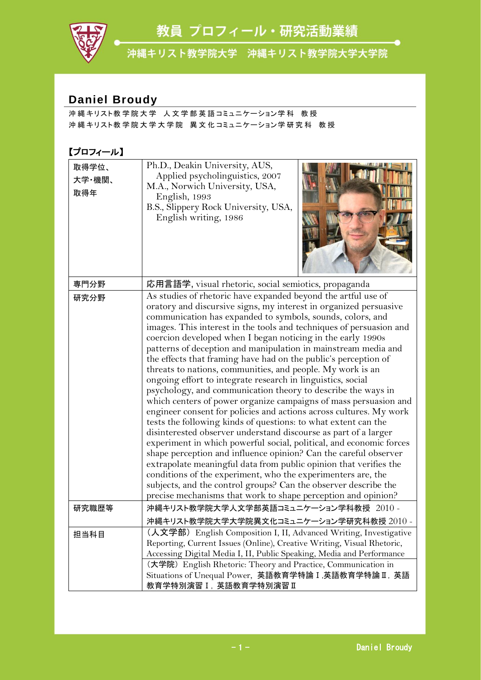教員 プロフィール・研究活動業績



沖縄キリスト教学院大学 沖縄キリスト教学院大学大学院

## **Daniel Broudy**

沖 縄 キリスト教 学 院 大 学 人 文 学 部 英 語 コミュニケーション学 科 教 授 沖縄キリスト教学院大学大学院 異文化コミュニケーション学研究科 教授

## 【プロフィール】

| 取得学位、<br>大学·機関、<br>取得年 | Ph.D., Deakin University, AUS,<br>Applied psycholinguistics, 2007<br>M.A., Norwich University, USA,<br>English, 1993<br>B.S., Slippery Rock University, USA,<br>English writing, 1986                                                                                                                                                                                                                                                                                                                                                                                                                                                                                                                                                                                                                                                                                                                                                                                                                                                                                                                                                                                                                                                                                                                                                                                       |
|------------------------|-----------------------------------------------------------------------------------------------------------------------------------------------------------------------------------------------------------------------------------------------------------------------------------------------------------------------------------------------------------------------------------------------------------------------------------------------------------------------------------------------------------------------------------------------------------------------------------------------------------------------------------------------------------------------------------------------------------------------------------------------------------------------------------------------------------------------------------------------------------------------------------------------------------------------------------------------------------------------------------------------------------------------------------------------------------------------------------------------------------------------------------------------------------------------------------------------------------------------------------------------------------------------------------------------------------------------------------------------------------------------------|
| 専門分野                   | 応用言語学, visual rhetoric, social semiotics, propaganda                                                                                                                                                                                                                                                                                                                                                                                                                                                                                                                                                                                                                                                                                                                                                                                                                                                                                                                                                                                                                                                                                                                                                                                                                                                                                                                        |
| 研究分野                   | As studies of rhetoric have expanded beyond the artful use of<br>oratory and discursive signs, my interest in organized persuasive<br>communication has expanded to symbols, sounds, colors, and<br>images. This interest in the tools and techniques of persuasion and<br>coercion developed when I began noticing in the early 1990s<br>patterns of deception and manipulation in mainstream media and<br>the effects that framing have had on the public's perception of<br>threats to nations, communities, and people. My work is an<br>ongoing effort to integrate research in linguistics, social<br>psychology, and communication theory to describe the ways in<br>which centers of power organize campaigns of mass persuasion and<br>engineer consent for policies and actions across cultures. My work<br>tests the following kinds of questions: to what extent can the<br>disinterested observer understand discourse as part of a larger<br>experiment in which powerful social, political, and economic forces<br>shape perception and influence opinion? Can the careful observer<br>extrapolate meaningful data from public opinion that verifies the<br>conditions of the experiment, who the experimenters are, the<br>subjects, and the control groups? Can the observer describe the<br>precise mechanisms that work to shape perception and opinion? |
| 研究職歴等                  | 沖縄キリスト教学院大学人文学部英語コミュニケーション学科教授 2010 -                                                                                                                                                                                                                                                                                                                                                                                                                                                                                                                                                                                                                                                                                                                                                                                                                                                                                                                                                                                                                                                                                                                                                                                                                                                                                                                                       |
|                        | 沖縄キリスト教学院大学大学院異文化コミュニケーション学研究科教授 2010                                                                                                                                                                                                                                                                                                                                                                                                                                                                                                                                                                                                                                                                                                                                                                                                                                                                                                                                                                                                                                                                                                                                                                                                                                                                                                                                       |
| 担当科目                   | (人文学部) English Composition I, II, Advanced Writing, Investigative<br>Reporting, Current Issues (Online), Creative Writing, Visual Rhetoric,<br>Accessing Digital Media I, II, Public Speaking, Media and Performance                                                                                                                                                                                                                                                                                                                                                                                                                                                                                                                                                                                                                                                                                                                                                                                                                                                                                                                                                                                                                                                                                                                                                        |
|                        | (大学院) English Rhetoric: Theory and Practice, Communication in<br>Situations of Unequal Power, 英語教育学特論 I, 英語教育学特論 I, 英語<br>教育学特別演習 I, 英語教育学特別演習 II                                                                                                                                                                                                                                                                                                                                                                                                                                                                                                                                                                                                                                                                                                                                                                                                                                                                                                                                                                                                                                                                                                                                                                                                                           |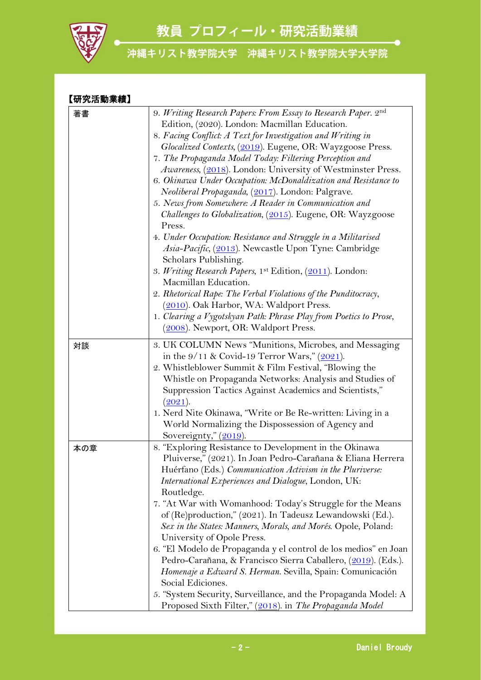教員 プロフィール・研究活動業績



| 【研究活動業績】 |                                                                    |
|----------|--------------------------------------------------------------------|
| 著書       | 9. Writing Research Papers: From Essay to Research Paper. 2nd      |
|          | Edition, (2020). London: Macmillan Education.                      |
|          | 8. Facing Conflict: A Text for Investigation and Writing in        |
|          | Glocalized Contexts, (2019). Eugene, OR: Wayzgoose Press.          |
|          | 7. The Propaganda Model Today: Filtering Perception and            |
|          | Awareness, (2018). London: University of Westminster Press.        |
|          | 6. Okinawa Under Occupation: McDonaldization and Resistance to     |
|          | Neoliberal Propaganda, (2017). London: Palgrave.                   |
|          | 5. News from Somewhere: A Reader in Communication and              |
|          | <i>Challenges to Globalization, (2015)</i> . Eugene, OR: Wayzgoose |
|          | Press.                                                             |
|          | 4. Under Occupation: Resistance and Struggle in a Militarised      |
|          | Asia-Pacific, (2013). Newcastle Upon Tyne: Cambridge               |
|          | Scholars Publishing.                                               |
|          | 3. Writing Research Papers, 1st Edition, (2011). London:           |
|          | Macmillan Education.                                               |
|          | 2. Rhetorical Rape: The Verbal Violations of the Punditocracy,     |
|          | (2010). Oak Harbor, WA: Waldport Press.                            |
|          | 1. Clearing a Vygotskyan Path: Phrase Play from Poetics to Prose,  |
|          | (2008). Newport, OR: Waldport Press.                               |
| 対談       | 3. UK COLUMN News "Munitions, Microbes, and Messaging              |
|          | in the 9/11 & Covid-19 Terror Wars," (2021).                       |
|          | 2. Whistleblower Summit & Film Festival, "Blowing the              |
|          | Whistle on Propaganda Networks: Analysis and Studies of            |
|          | Suppression Tactics Against Academics and Scientists,"             |
|          | (2021).                                                            |
|          | 1. Nerd Nite Okinawa, "Write or Be Re-written: Living in a         |
|          | World Normalizing the Dispossession of Agency and                  |
|          | Sovereignty," $(2019)$ .                                           |
| 本の章      | 8. "Exploring Resistance to Development in the Okinawa             |
|          | Pluiverse," (2021). In Joan Pedro-Carañana & Eliana Herrera        |
|          | Huérfano (Eds.) Communication Activism in the Pluriverse:          |
|          | <i>International Experiences and Dialogue, London, UK:</i>         |
|          | Routledge.                                                         |
|          | 7. "At War with Womanhood: Today's Struggle for the Means          |
|          | of (Re)production," (2021). In Tadeusz Lewandowski (Ed.).          |
|          | Sex in the States: Manners, Morals, and Morés. Opole, Poland:      |
|          | University of Opole Press.                                         |
|          | 6. "El Modelo de Propaganda y el control de los medios" en Joan    |
|          | Pedro-Carañana, & Francisco Sierra Caballero, (2019). (Eds.).      |
|          | Homenaje a Edward S. Herman. Sevilla, Spain: Comunicación          |
|          | Social Ediciones.                                                  |
|          | 5. "System Security, Surveillance, and the Propaganda Model: A     |
|          | Proposed Sixth Filter," (2018). in The Propaganda Model            |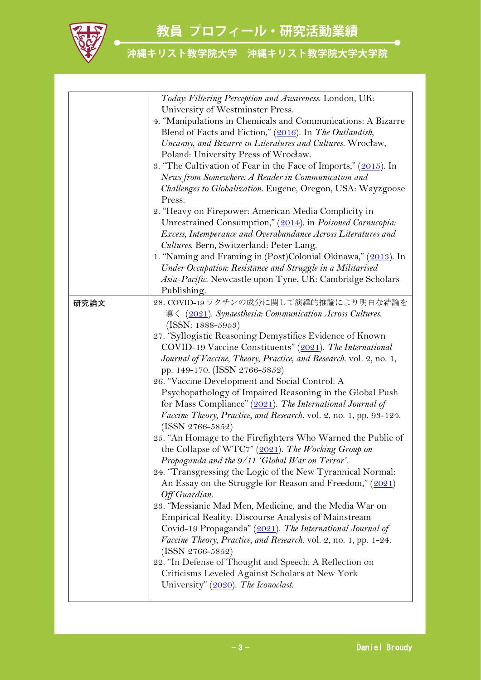

|      | Today: Filtering Perception and Awareness. London, UK:             |
|------|--------------------------------------------------------------------|
|      | University of Westminster Press.                                   |
|      | 4. "Manipulations in Chemicals and Communications: A Bizarre       |
|      | Blend of Facts and Fiction," (2016). In The Outlandish,            |
|      | Uncanny, and Bizarre in Literatures and Cultures. Wrocław,         |
|      | Poland: University Press of Wrocław.                               |
|      | 3. "The Cultivation of Fear in the Face of Imports," (2015). In    |
|      | News from Somewhere: A Reader in Communication and                 |
|      | Challenges to Globalization. Eugene, Oregon, USA: Wayzgoose        |
|      | Press.                                                             |
|      | 2. "Heavy on Firepower: American Media Complicity in               |
|      | Unrestrained Consumption," (2014). in Poisoned Cornucopia:         |
|      |                                                                    |
|      | Excess, Intemperance and Overabundance Across Literatures and      |
|      | Cultures. Bern, Switzerland: Peter Lang.                           |
|      | 1. "Naming and Framing in (Post)Colonial Okinawa," (2013). In      |
|      | Under Occupation: Resistance and Struggle in a Militarised         |
|      | Asia-Pacific. Newcastle upon Tyne, UK: Cambridge Scholars          |
|      | Publishing.                                                        |
| 研究論文 | 28. COVID-19 ワクチンの成分に関して演繹的推論により明白な結論を                             |
|      | 導く (2021). Synaesthesia: Communication Across Cultures.            |
|      | $(ISSN: 1888-5953)$                                                |
|      | 27. "Syllogistic Reasoning Demystifies Evidence of Known           |
|      | COVID-19 Vaccine Constituents" (2021). The International           |
|      | Journal of Vaccine, Theory, Practice, and Research. vol. 2, no. 1, |
|      | pp. 149-170. (ISSN 2766-5852)                                      |
|      | 26. "Vaccine Development and Social Control: A                     |
|      | Psychopathology of Impaired Reasoning in the Global Push           |
|      | for Mass Compliance" $(2021)$ . The International Journal of       |
|      | Vaccine Theory, Practice, and Research. vol. 2, no. 1, pp. 93-124. |
|      | $(ISSN 2766-5852)$                                                 |
|      | 25. "An Homage to the Firefighters Who Warned the Public of        |
|      | the Collapse of WTC7" $(2021)$ . The Working Group on              |
|      | Propaganda and the $9/11$ 'Global War on Terror'.                  |
|      | 24. "Transgressing the Logic of the New Tyrannical Normal:         |
|      | An Essay on the Struggle for Reason and Freedom," (2021)           |
|      | Off Guardian.                                                      |
|      | 23. "Messianic Mad Men, Medicine, and the Media War on             |
|      | <b>Empirical Reality: Discourse Analysis of Mainstream</b>         |
|      | Covid-19 Propaganda" (2021). The International Journal of          |
|      | Vaccine Theory, Practice, and Research. vol. 2, no. 1, pp. 1-24.   |
|      | $(ISSN 2766-5852)$                                                 |
|      | 22. "In Defense of Thought and Speech: A Reflection on             |
|      | Criticisms Leveled Against Scholars at New York                    |
|      | University" (2020). The Iconoclast.                                |
|      |                                                                    |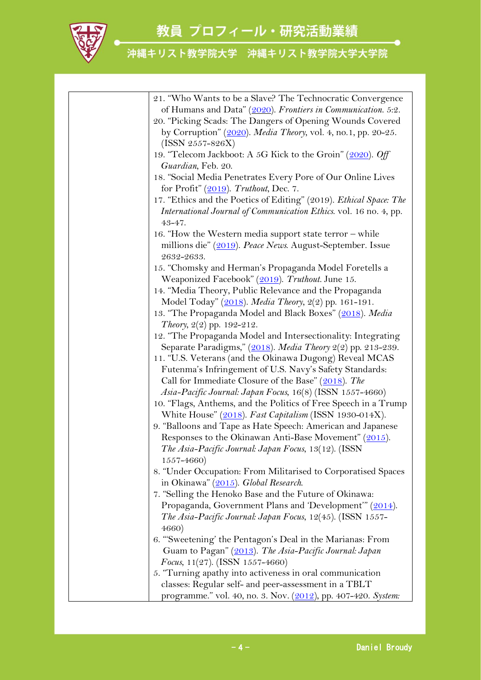

| 21. "Who Wants to be a Slave? The Technocratic Convergence         |
|--------------------------------------------------------------------|
| of Humans and Data" (2020). Frontiers in Communication. 5:2.       |
| 20. "Picking Scads: The Dangers of Opening Wounds Covered          |
| by Corruption" (2020). Media Theory, vol. 4, no.1, pp. 20-25.      |
| $(ISSN 2557 - 826X)$                                               |
| 19. "Telecom Jackboot: A 5G Kick to the Groin" (2020). Off         |
| Guardian, Feb. 20.                                                 |
| 18. "Social Media Penetrates Every Pore of Our Online Lives        |
| for Profit" $(2019)$ . Truthout, Dec. 7.                           |
| 17. "Ethics and the Poetics of Editing" (2019). Ethical Space: The |
| International Journal of Communication Ethics. vol. 16 no. 4, pp.  |
| 43-47.                                                             |
| 16. "How the Western media support state terror – while            |
| millions die" (2019). Peace News. August-September. Issue          |
| 2632-2633.                                                         |
| 15. "Chomsky and Herman's Propaganda Model Foretells a             |
| Weaponized Facebook" (2019). Truthout. June 15.                    |
| 14. "Media Theory, Public Relevance and the Propaganda             |
| Model Today" (2018). Media Theory, 2(2) pp. 161-191.               |
| 13. "The Propaganda Model and Black Boxes" (2018). Media           |
| Theory, 2(2) pp. 192-212.                                          |
| 12. "The Propaganda Model and Intersectionality: Integrating       |
| Separate Paradigms," (2018). Media Theory 2(2) pp. 213-239.        |
| 11. "U.S. Veterans (and the Okinawa Dugong) Reveal MCAS            |
| Futenma's Infringement of U.S. Navy's Safety Standards:            |
| Call for Immediate Closure of the Base" (2018). The                |
| Asia-Pacific Journal: Japan Focus, 16(8) (ISSN 1557-4660)          |
| 10. "Flags, Anthems, and the Politics of Free Speech in a Trump    |
| White House" (2018). Fast Capitalism (ISSN 1930-014X).             |
| 9. "Balloons and Tape as Hate Speech: American and Japanese        |
|                                                                    |
| Responses to the Okinawan Anti-Base Movement" (2015).              |
| The Asia-Pacific Journal: Japan Focus, 13(12). (ISSN               |
| $1557 - 4660$                                                      |
| 8. "Under Occupation: From Militarised to Corporatised Spaces      |
| in Okinawa" (2015). Global Research.                               |
| 7. "Selling the Henoko Base and the Future of Okinawa:             |
| Propaganda, Government Plans and 'Development'" (2014).            |
| The Asia-Pacific Journal: Japan Focus, 12(45). (ISSN 1557-         |
| 4660)                                                              |
| 6. "Sweetening' the Pentagon's Deal in the Marianas: From          |
| Guam to Pagan" (2013). The Asia-Pacific Journal: Japan             |
| Focus, $11(27)$ . (ISSN 1557-4660)                                 |
| 5. "Turning apathy into activeness in oral communication           |
| classes: Regular self- and peer-assessment in a TBLT               |
| programme." vol. 40, no. 3. Nov. (2012), pp. 407-420. System:      |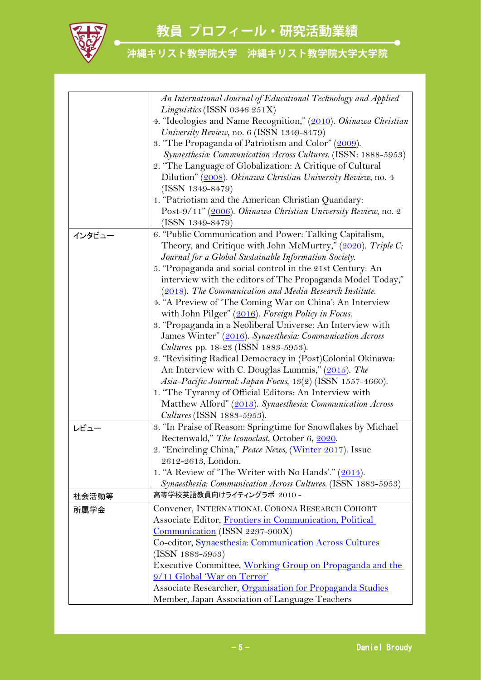

|        | An International Journal of Educational Technology and Applied  |
|--------|-----------------------------------------------------------------|
|        | Linguistics (ISSN 0346 251X)                                    |
|        | 4. "Ideologies and Name Recognition," (2010). Okinawa Christian |
|        | University Review, no. 6 (ISSN 1349-8479)                       |
|        | 3. "The Propaganda of Patriotism and Color" (2009).             |
|        | Synaesthesia: Communication Across Cultures. (ISSN: 1888-5953)  |
|        | 2. "The Language of Globalization: A Critique of Cultural       |
|        | Dilution" (2008). Okinawa Christian University Review, no. 4    |
|        | $(ISSN 1349 - 8479)$                                            |
|        | 1. "Patriotism and the American Christian Quandary:             |
|        | Post-9/11" (2006). Okinawa Christian University Review, no. 2   |
|        | $(ISSN 1349-8479)$                                              |
| インタビュー | 6. "Public Communication and Power: Talking Capitalism,         |
|        | Theory, and Critique with John McMurtry," (2020). Triple C:     |
|        | Journal for a Global Sustainable Information Society.           |
|        | 5. "Propaganda and social control in the 21st Century: An       |
|        | interview with the editors of The Propaganda Model Today,"      |
|        | (2018). The Communication and Media Research Institute.         |
|        | 4. "A Preview of 'The Coming War on China': An Interview        |
|        | with John Pilger" (2016). Foreign Policy in Focus.              |
|        | 3. "Propaganda in a Neoliberal Universe: An Interview with      |
|        | James Winter" (2016). Synaesthesia: Communication Across        |
|        | Cultures. pp. 18-23 (ISSN 1883-5953).                           |
|        | 2. "Revisiting Radical Democracy in (Post)Colonial Okinawa:     |
|        | An Interview with C. Douglas Lummis," (2015). The               |
|        | Asia-Pacific Journal: Japan Focus, 13(2) (ISSN 1557-4660).      |
|        | 1. "The Tyranny of Official Editors: An Interview with          |
|        | Matthew Alford" (2013). Synaesthesia: Communication Across      |
|        | <i>Cultures</i> (ISSN 1883-5953).                               |
| レビュー   | 3. "In Praise of Reason: Springtime for Snowflakes by Michael   |
|        | Rectenwald," The Iconoclast, October 6, 2020.                   |
|        | 2. "Encircling China," Peace News, (Winter 2017). Issue         |
|        | 2612-2613, London.                                              |
|        | 1. "A Review of 'The Writer with No Hands'." (2014).            |
|        | Synaesthesia: Communication Across Cultures. (ISSN 1883-5953)   |
| 社会活動等  | 高等学校英語教員向けライティングラボ 2010 -                                       |
| 所属学会   | Convener, INTERNATIONAL CORONA RESEARCH COHORT                  |
|        | Associate Editor, Frontiers in Communication, Political         |
|        | Communication (ISSN 2297-900X)                                  |
|        | Co-editor, Synaesthesia: Communication Across Cultures          |
|        | $(ISSN 1883 - 5953)$                                            |
|        | Executive Committee, Working Group on Propaganda and the        |
|        | 9/11 Global 'War on Terror'                                     |
|        | Associate Researcher, Organisation for Propaganda Studies       |
|        | Member, Japan Association of Language Teachers                  |